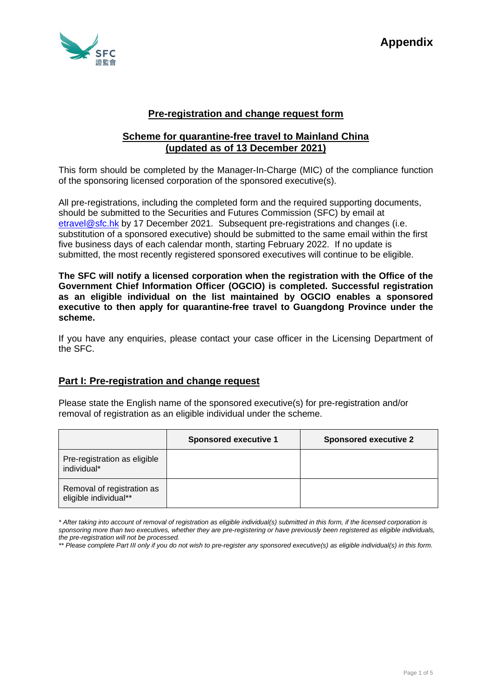

# **Pre-registration and change request form**

## **Scheme for quarantine-free travel to Mainland China (updated as of 13 December 2021)**

This form should be completed by the Manager-In-Charge (MIC) of the compliance function of the sponsoring licensed corporation of the sponsored executive(s).

All pre-registrations, including the completed form and the required supporting documents, should be submitted to the Securities and Futures Commission (SFC) by email at [etravel@sfc.hk](mailto:etravel@sfc.hk) by 17 December 2021. Subsequent pre-registrations and changes (i.e. substitution of a sponsored executive) should be submitted to the same email within the first five business days of each calendar month, starting February 2022. If no update is submitted, the most recently registered sponsored executives will continue to be eligible.

**The SFC will notify a licensed corporation when the registration with the Office of the Government Chief Information Officer (OGCIO) is completed. Successful registration as an eligible individual on the list maintained by OGCIO enables a sponsored executive to then apply for quarantine-free travel to Guangdong Province under the scheme.** 

If you have any enquiries, please contact your case officer in the Licensing Department of the SFC.

# **Part I: Pre-registration and change request**

Please state the English name of the sponsored executive(s) for pre-registration and/or removal of registration as an eligible individual under the scheme.

|                                                     | <b>Sponsored executive 1</b> | <b>Sponsored executive 2</b> |
|-----------------------------------------------------|------------------------------|------------------------------|
| Pre-registration as eligible<br>individual*         |                              |                              |
| Removal of registration as<br>eligible individual** |                              |                              |

*<sup>\*</sup> After taking into account of removal of registration as eligible individual(s) submitted in this form, if the licensed corporation is sponsoring more than two executives, whether they are pre-registering or have previously been registered as eligible individuals, the pre-registration will not be processed.*

*<sup>\*\*</sup> Please complete Part III only if you do not wish to pre-register any sponsored executive(s) as eligible individual(s) in this form.*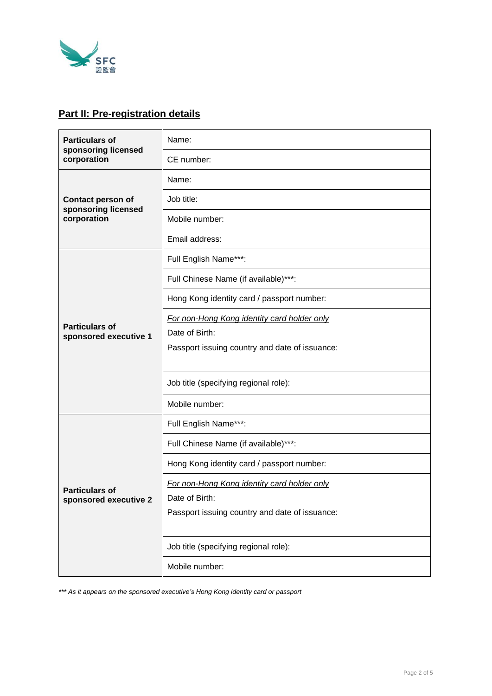

# **Part II: Pre-registration details**

| <b>Particulars of</b><br>sponsoring licensed<br>corporation    | Name:                                          |  |
|----------------------------------------------------------------|------------------------------------------------|--|
|                                                                | CE number:                                     |  |
| <b>Contact person of</b><br>sponsoring licensed<br>corporation | Name:                                          |  |
|                                                                | Job title:                                     |  |
|                                                                | Mobile number:                                 |  |
|                                                                | Email address:                                 |  |
| <b>Particulars of</b><br>sponsored executive 1                 | Full English Name***:                          |  |
|                                                                | Full Chinese Name (if available)***:           |  |
|                                                                | Hong Kong identity card / passport number:     |  |
|                                                                | For non-Hong Kong identity card holder only    |  |
|                                                                | Date of Birth:                                 |  |
|                                                                | Passport issuing country and date of issuance: |  |
|                                                                |                                                |  |
|                                                                | Job title (specifying regional role):          |  |
|                                                                | Mobile number:                                 |  |
| <b>Particulars of</b><br>sponsored executive 2                 | Full English Name***:                          |  |
|                                                                | Full Chinese Name (if available)***:           |  |
|                                                                | Hong Kong identity card / passport number:     |  |
|                                                                | For non-Hong Kong identity card holder only    |  |
|                                                                | Date of Birth:                                 |  |
|                                                                | Passport issuing country and date of issuance: |  |
|                                                                |                                                |  |
|                                                                | Job title (specifying regional role):          |  |
|                                                                | Mobile number:                                 |  |

*\*\*\* As it appears on the sponsored executive's Hong Kong identity card or passport*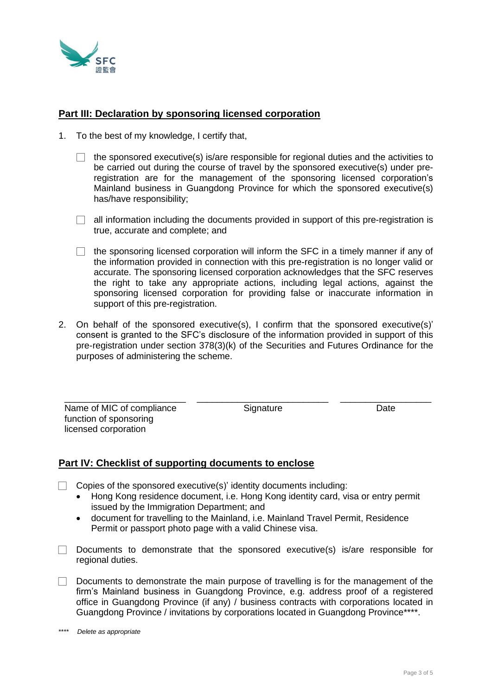

## **Part III: Declaration by sponsoring licensed corporation**

- 1. To the best of my knowledge, I certify that,
	- $\Box$  the sponsored executive(s) is/are responsible for regional duties and the activities to be carried out during the course of travel by the sponsored executive(s) under preregistration are for the management of the sponsoring licensed corporation's Mainland business in Guangdong Province for which the sponsored executive(s) has/have responsibility;
	- $\Box$  all information including the documents provided in support of this pre-registration is true, accurate and complete; and
	- $\Box$  the sponsoring licensed corporation will inform the SFC in a timely manner if any of the information provided in connection with this pre-registration is no longer valid or accurate. The sponsoring licensed corporation acknowledges that the SFC reserves the right to take any appropriate actions, including legal actions, against the sponsoring licensed corporation for providing false or inaccurate information in support of this pre-registration.
- 2. On behalf of the sponsored executive(s), I confirm that the sponsored executive(s)' consent is granted to the SFC's disclosure of the information provided in support of this pre-registration under section 378(3)(k) of the Securities and Futures Ordinance for the purposes of administering the scheme.

\_\_\_\_\_\_\_\_\_\_\_\_\_\_\_\_\_\_\_\_\_\_\_\_ \_\_\_\_\_\_\_\_\_\_\_\_\_\_\_\_\_\_\_\_\_\_\_\_\_\_ \_\_\_\_\_\_\_\_\_\_\_\_\_\_\_\_\_\_

Name of MIC of compliance function of sponsoring licensed corporation

Signature Date

## **Part IV: Checklist of supporting documents to enclose**

- $\Box$  Copies of the sponsored executive(s)' identity documents including:
	- Hong Kong residence document, i.e. Hong Kong identity card, visa or entry permit issued by the Immigration Department; and
	- document for travelling to the Mainland, i.e. Mainland Travel Permit, Residence Permit or passport photo page with a valid Chinese visa.
- $\Box$  Documents to demonstrate that the sponsored executive(s) is/are responsible for regional duties.
- $\Box$  Documents to demonstrate the main purpose of travelling is for the management of the firm's Mainland business in Guangdong Province, e.g. address proof of a registered office in Guangdong Province (if any) / business contracts with corporations located in Guangdong Province / invitations by corporations located in Guangdong Province\*\*\*\*.

<sup>\*\*\*\*</sup> *Delete as appropriate*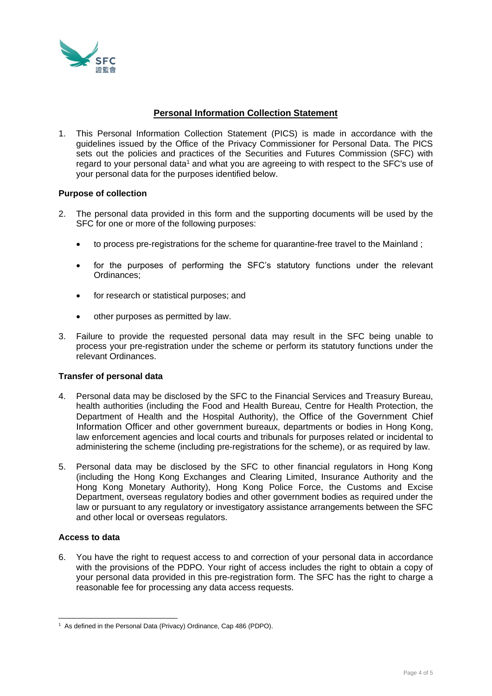

## **Personal Information Collection Statement**

1. This Personal Information Collection Statement (PICS) is made in accordance with the guidelines issued by the Office of the Privacy Commissioner for Personal Data. The PICS sets out the policies and practices of the Securities and Futures Commission (SFC) with regard to your personal data<sup>1</sup> and what you are agreeing to with respect to the SFC's use of your personal data for the purposes identified below.

### **Purpose of collection**

- 2. The personal data provided in this form and the supporting documents will be used by the SFC for one or more of the following purposes:
	- to process pre-registrations for the scheme for quarantine-free travel to the Mainland ;
	- for the purposes of performing the SFC's statutory functions under the relevant Ordinances;
	- for research or statistical purposes; and
	- other purposes as permitted by law.
- 3. Failure to provide the requested personal data may result in the SFC being unable to process your pre-registration under the scheme or perform its statutory functions under the relevant Ordinances.

#### **Transfer of personal data**

- 4. Personal data may be disclosed by the SFC to the Financial Services and Treasury Bureau, health authorities (including the Food and Health Bureau, Centre for Health Protection, the Department of Health and the Hospital Authority), the Office of the Government Chief Information Officer and other government bureaux, departments or bodies in Hong Kong, law enforcement agencies and local courts and tribunals for purposes related or incidental to administering the scheme (including pre-registrations for the scheme), or as required by law.
- 5. Personal data may be disclosed by the SFC to other financial regulators in Hong Kong (including the Hong Kong Exchanges and Clearing Limited, Insurance Authority and the Hong Kong Monetary Authority), Hong Kong Police Force, the Customs and Excise Department, overseas regulatory bodies and other government bodies as required under the law or pursuant to any regulatory or investigatory assistance arrangements between the SFC and other local or overseas regulators.

#### **Access to data**

6. You have the right to request access to and correction of your personal data in accordance with the provisions of the PDPO. Your right of access includes the right to obtain a copy of your personal data provided in this pre-registration form. The SFC has the right to charge a reasonable fee for processing any data access requests.

<sup>&</sup>lt;sup>1</sup> As defined in the Personal Data (Privacy) Ordinance, Cap 486 (PDPO).